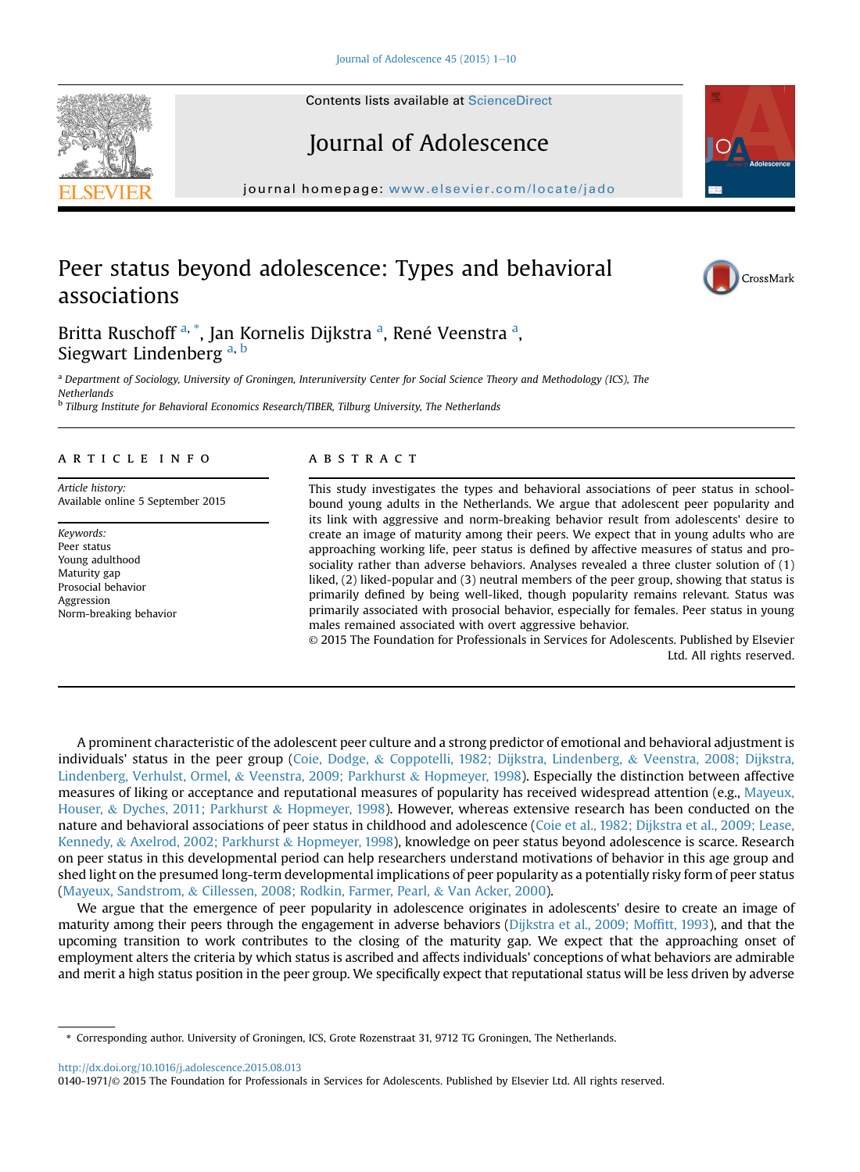Contents lists available at [ScienceDirect](www.sciencedirect.com/science/journal/01401971)

# Journal of Adolescence

journal homepage: [www.elsevier.com/locate/jado](http://www.elsevier.com/locate/jado)

# Peer status beyond adolescence: Types and behavioral associations

Britta Ruschoff <sup>a, \*</sup>, Jan Kornelis Dijkstra <sup>a</sup>, René Veenstra <sup>a</sup>, Siegwart Lindenberg a, b

a Department of Sociology, University of Groningen, Interuniversity Center for Social Science Theory and Methodology (ICS), The Netherlands <sup>b</sup> Tilburg Institute for Behavioral Economics Research/TIBER, Tilburg University, The Netherlands

# article info

Article history: Available online 5 September 2015

Keywords: Peer status Young adulthood Maturity gap Prosocial behavior Aggression Norm-breaking behavior

# **ABSTRACT**

This study investigates the types and behavioral associations of peer status in schoolbound young adults in the Netherlands. We argue that adolescent peer popularity and its link with aggressive and norm-breaking behavior result from adolescents' desire to create an image of maturity among their peers. We expect that in young adults who are approaching working life, peer status is defined by affective measures of status and prosociality rather than adverse behaviors. Analyses revealed a three cluster solution of (1) liked, (2) liked-popular and (3) neutral members of the peer group, showing that status is primarily defined by being well-liked, though popularity remains relevant. Status was primarily associated with prosocial behavior, especially for females. Peer status in young males remained associated with overt aggressive behavior.

© 2015 The Foundation for Professionals in Services for Adolescents. Published by Elsevier Ltd. All rights reserved.

A prominent characteristic of the adolescent peer culture and a strong predictor of emotional and behavioral adjustment is individuals' status in the peer group ([Coie, Dodge,](#page-9-0) & [Coppotelli, 1982; Dijkstra, Lindenberg,](#page-9-0) & [Veenstra, 2008; Dijkstra,](#page-9-0) [Lindenberg, Verhulst, Ormel,](#page-9-0) & [Veenstra, 2009; Parkhurst](#page-9-0) & [Hopmeyer, 1998](#page-9-0)). Especially the distinction between affective measures of liking or acceptance and reputational measures of popularity has received widespread attention (e.g., [Mayeux,](#page-9-0) [Houser,](#page-9-0) & [Dyches, 2011; Parkhurst](#page-9-0) & [Hopmeyer, 1998\)](#page-9-0). However, whereas extensive research has been conducted on the nature and behavioral associations of peer status in childhood and adolescence [\(Coie et al., 1982; Dijkstra et al., 2009; Lease,](#page-9-0) [Kennedy,](#page-9-0) & [Axelrod, 2002; Parkhurst](#page-9-0) & [Hopmeyer, 1998](#page-9-0)), knowledge on peer status beyond adolescence is scarce. Research on peer status in this developmental period can help researchers understand motivations of behavior in this age group and shed light on the presumed long-term developmental implications of peer popularity as a potentially risky form of peer status ([Mayeux, Sandstrom,](#page-9-0) & [Cillessen, 2008; Rodkin, Farmer, Pearl,](#page-9-0) & [Van Acker, 2000\)](#page-9-0).

We argue that the emergence of peer popularity in adolescence originates in adolescents' desire to create an image of maturity among their peers through the engagement in adverse behaviors ([Dijkstra et al., 2009; Mof](#page-9-0)fitt, 1993), and that the upcoming transition to work contributes to the closing of the maturity gap. We expect that the approaching onset of employment alters the criteria by which status is ascribed and affects individuals' conceptions of what behaviors are admirable and merit a high status position in the peer group. We specifically expect that reputational status will be less driven by adverse

<http://dx.doi.org/10.1016/j.adolescence.2015.08.013>

0140-1971/© 2015 The Foundation for Professionals in Services for Adolescents. Published by Elsevier Ltd. All rights reserved.







<sup>\*</sup> Corresponding author. University of Groningen, ICS, Grote Rozenstraat 31, 9712 TG Groningen, The Netherlands.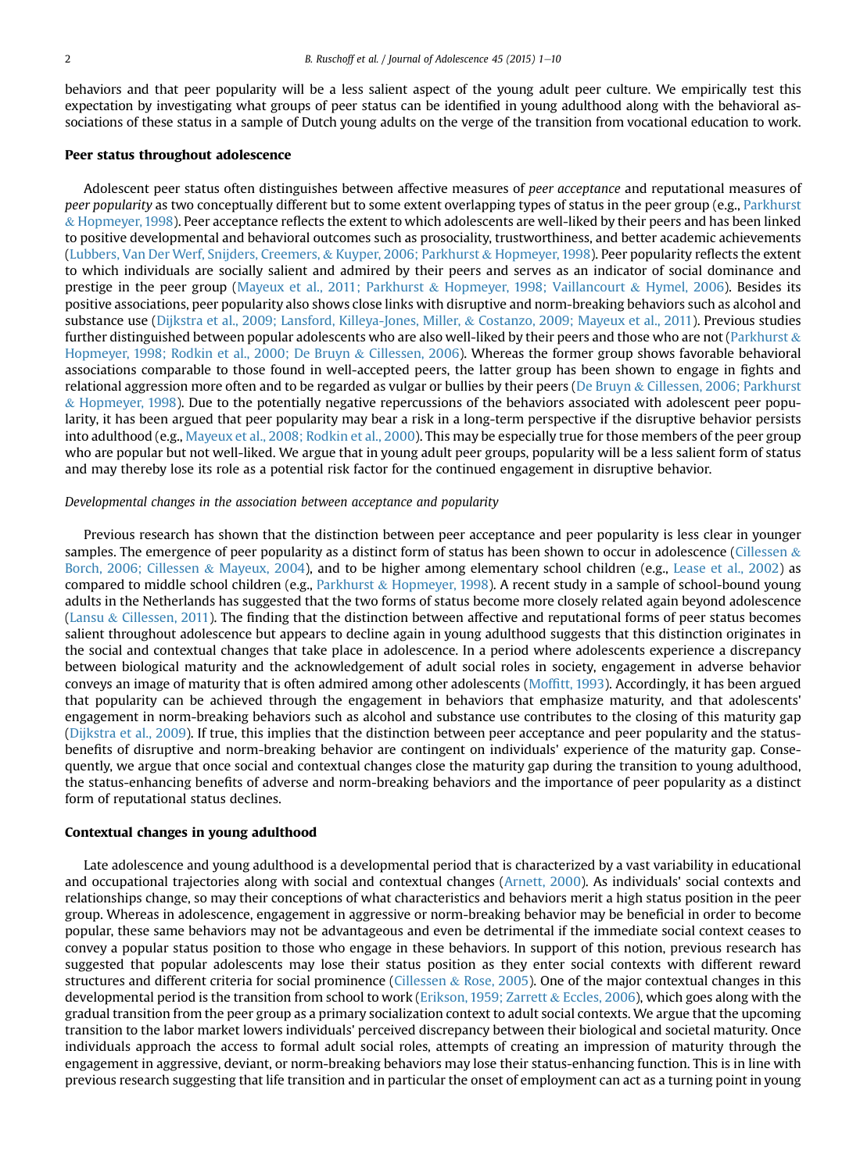behaviors and that peer popularity will be a less salient aspect of the young adult peer culture. We empirically test this expectation by investigating what groups of peer status can be identified in young adulthood along with the behavioral associations of these status in a sample of Dutch young adults on the verge of the transition from vocational education to work.

## Peer status throughout adolescence

Adolescent peer status often distinguishes between affective measures of peer acceptance and reputational measures of peer popularity as two conceptually different but to some extent overlapping types of status in the peer group (e.g., [Parkhurst](#page-9-0) & [Hopmeyer, 1998\)](#page-9-0). Peer acceptance reflects the extent to which adolescents are well-liked by their peers and has been linked to positive developmental and behavioral outcomes such as prosociality, trustworthiness, and better academic achievements [\(Lubbers, Van Der Werf, Snijders, Creemers,](#page-9-0) & [Kuyper, 2006; Parkhurst](#page-9-0) & [Hopmeyer, 1998](#page-9-0)). Peer popularity reflects the extent to which individuals are socially salient and admired by their peers and serves as an indicator of social dominance and prestige in the peer group [\(Mayeux et al., 2011; Parkhurst](#page-9-0) & [Hopmeyer, 1998; Vaillancourt](#page-9-0) & [Hymel, 2006\)](#page-9-0). Besides its positive associations, peer popularity also shows close links with disruptive and norm-breaking behaviors such as alcohol and substance use [\(Dijkstra et al., 2009; Lansford, Killeya-Jones, Miller,](#page-9-0) & [Costanzo, 2009; Mayeux et al., 2011\)](#page-9-0). Previous studies further distinguished between popular adolescents who are also well-liked by their peers and those who are not ([Parkhurst](#page-9-0)  $\&$ [Hopmeyer, 1998; Rodkin et al., 2000; De Bruyn](#page-9-0) & [Cillessen, 2006\)](#page-9-0). Whereas the former group shows favorable behavioral associations comparable to those found in well-accepted peers, the latter group has been shown to engage in fights and relational aggression more often and to be regarded as vulgar or bullies by their peers ([De Bruyn](#page-9-0) & [Cillessen, 2006; Parkhurst](#page-9-0)  $&$  [Hopmeyer, 1998\)](#page-9-0). Due to the potentially negative repercussions of the behaviors associated with adolescent peer popularity, it has been argued that peer popularity may bear a risk in a long-term perspective if the disruptive behavior persists into adulthood (e.g., [Mayeux et al., 2008; Rodkin et al., 2000\)](#page-9-0). This may be especially true for those members of the peer group who are popular but not well-liked. We argue that in young adult peer groups, popularity will be a less salient form of status and may thereby lose its role as a potential risk factor for the continued engagement in disruptive behavior.

### Developmental changes in the association between acceptance and popularity

Previous research has shown that the distinction between peer acceptance and peer popularity is less clear in younger samples. The emergence of peer popularity as a distinct form of status has been shown to occur in adolescence ([Cillessen](#page-9-0)  $\&$ [Borch, 2006; Cillessen](#page-9-0) & [Mayeux, 2004](#page-9-0)), and to be higher among elementary school children (e.g., [Lease et al., 2002](#page-9-0)) as compared to middle school children (e.g., [Parkhurst](#page-9-0) & [Hopmeyer, 1998](#page-9-0)). A recent study in a sample of school-bound young adults in the Netherlands has suggested that the two forms of status become more closely related again beyond adolescence [\(Lansu](#page-9-0)  $&$  [Cillessen, 2011](#page-9-0)). The finding that the distinction between affective and reputational forms of peer status becomes salient throughout adolescence but appears to decline again in young adulthood suggests that this distinction originates in the social and contextual changes that take place in adolescence. In a period where adolescents experience a discrepancy between biological maturity and the acknowledgement of adult social roles in society, engagement in adverse behavior conveys an image of maturity that is often admired among other adolescents (Moffi[tt, 1993\)](#page-9-0). Accordingly, it has been argued that popularity can be achieved through the engagement in behaviors that emphasize maturity, and that adolescents' engagement in norm-breaking behaviors such as alcohol and substance use contributes to the closing of this maturity gap [\(Dijkstra et al., 2009\)](#page-9-0). If true, this implies that the distinction between peer acceptance and peer popularity and the statusbenefits of disruptive and norm-breaking behavior are contingent on individuals' experience of the maturity gap. Consequently, we argue that once social and contextual changes close the maturity gap during the transition to young adulthood, the status-enhancing benefits of adverse and norm-breaking behaviors and the importance of peer popularity as a distinct form of reputational status declines.

# Contextual changes in young adulthood

Late adolescence and young adulthood is a developmental period that is characterized by a vast variability in educational and occupational trajectories along with social and contextual changes [\(Arnett, 2000\)](#page-9-0). As individuals' social contexts and relationships change, so may their conceptions of what characteristics and behaviors merit a high status position in the peer group. Whereas in adolescence, engagement in aggressive or norm-breaking behavior may be beneficial in order to become popular, these same behaviors may not be advantageous and even be detrimental if the immediate social context ceases to convey a popular status position to those who engage in these behaviors. In support of this notion, previous research has suggested that popular adolescents may lose their status position as they enter social contexts with different reward structures and different criteria for social prominence ([Cillessen](#page-9-0) & [Rose, 2005\)](#page-9-0). One of the major contextual changes in this developmental period is the transition from school to work [\(Erikson, 1959; Zarrett](#page-9-0) & [Eccles, 2006](#page-9-0)), which goes along with the gradual transition from the peer group as a primary socialization context to adult social contexts. We argue that the upcoming transition to the labor market lowers individuals' perceived discrepancy between their biological and societal maturity. Once individuals approach the access to formal adult social roles, attempts of creating an impression of maturity through the engagement in aggressive, deviant, or norm-breaking behaviors may lose their status-enhancing function. This is in line with previous research suggesting that life transition and in particular the onset of employment can act as a turning point in young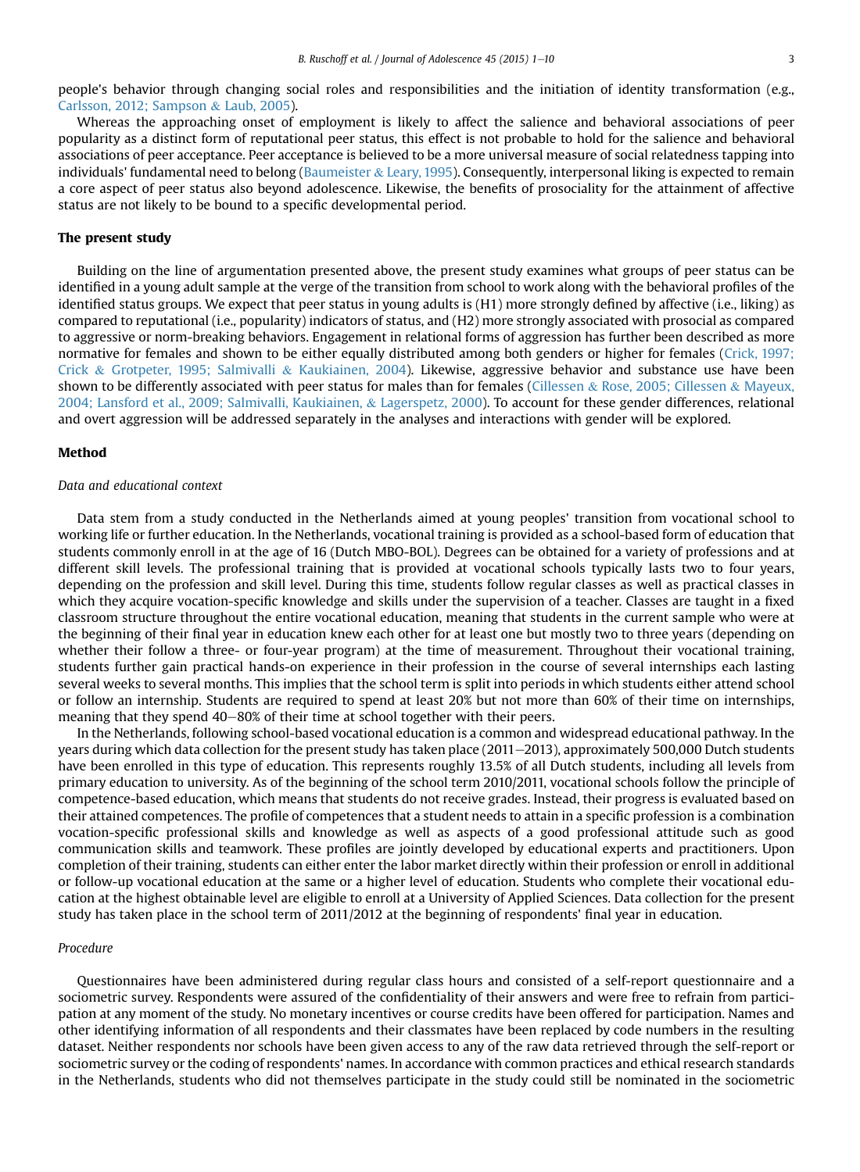people's behavior through changing social roles and responsibilities and the initiation of identity transformation (e.g., [Carlsson, 2012; Sampson](#page-9-0) & [Laub, 2005\)](#page-9-0).

Whereas the approaching onset of employment is likely to affect the salience and behavioral associations of peer popularity as a distinct form of reputational peer status, this effect is not probable to hold for the salience and behavioral associations of peer acceptance. Peer acceptance is believed to be a more universal measure of social relatedness tapping into individuals' fundamental need to belong [\(Baumeister](#page-9-0) & [Leary, 1995\)](#page-9-0). Consequently, interpersonal liking is expected to remain a core aspect of peer status also beyond adolescence. Likewise, the benefits of prosociality for the attainment of affective status are not likely to be bound to a specific developmental period.

# The present study

Building on the line of argumentation presented above, the present study examines what groups of peer status can be identified in a young adult sample at the verge of the transition from school to work along with the behavioral profiles of the identified status groups. We expect that peer status in young adults is (H1) more strongly defined by affective (i.e., liking) as compared to reputational (i.e., popularity) indicators of status, and (H2) more strongly associated with prosocial as compared to aggressive or norm-breaking behaviors. Engagement in relational forms of aggression has further been described as more normative for females and shown to be either equally distributed among both genders or higher for females ([Crick, 1997;](#page-9-0) [Crick](#page-9-0) & [Grotpeter, 1995; Salmivalli](#page-9-0) & [Kaukiainen, 2004](#page-9-0)). Likewise, aggressive behavior and substance use have been shown to be differently associated with peer status for males than for females ([Cillessen](#page-9-0) & [Rose, 2005; Cillessen](#page-9-0) & [Mayeux,](#page-9-0) [2004; Lansford et al., 2009; Salmivalli, Kaukiainen,](#page-9-0) & [Lagerspetz, 2000](#page-9-0)). To account for these gender differences, relational and overt aggression will be addressed separately in the analyses and interactions with gender will be explored.

## Method

# Data and educational context

Data stem from a study conducted in the Netherlands aimed at young peoples' transition from vocational school to working life or further education. In the Netherlands, vocational training is provided as a school-based form of education that students commonly enroll in at the age of 16 (Dutch MBO-BOL). Degrees can be obtained for a variety of professions and at different skill levels. The professional training that is provided at vocational schools typically lasts two to four years, depending on the profession and skill level. During this time, students follow regular classes as well as practical classes in which they acquire vocation-specific knowledge and skills under the supervision of a teacher. Classes are taught in a fixed classroom structure throughout the entire vocational education, meaning that students in the current sample who were at the beginning of their final year in education knew each other for at least one but mostly two to three years (depending on whether their follow a three- or four-year program) at the time of measurement. Throughout their vocational training, students further gain practical hands-on experience in their profession in the course of several internships each lasting several weeks to several months. This implies that the school term is split into periods in which students either attend school or follow an internship. Students are required to spend at least 20% but not more than 60% of their time on internships, meaning that they spend 40–80% of their time at school together with their peers.

In the Netherlands, following school-based vocational education is a common and widespread educational pathway. In the years during which data collection for the present study has taken place (2011-2013), approximately 500,000 Dutch students have been enrolled in this type of education. This represents roughly 13.5% of all Dutch students, including all levels from primary education to university. As of the beginning of the school term 2010/2011, vocational schools follow the principle of competence-based education, which means that students do not receive grades. Instead, their progress is evaluated based on their attained competences. The profile of competences that a student needs to attain in a specific profession is a combination vocation-specific professional skills and knowledge as well as aspects of a good professional attitude such as good communication skills and teamwork. These profiles are jointly developed by educational experts and practitioners. Upon completion of their training, students can either enter the labor market directly within their profession or enroll in additional or follow-up vocational education at the same or a higher level of education. Students who complete their vocational education at the highest obtainable level are eligible to enroll at a University of Applied Sciences. Data collection for the present study has taken place in the school term of 2011/2012 at the beginning of respondents' final year in education.

# Procedure

Questionnaires have been administered during regular class hours and consisted of a self-report questionnaire and a sociometric survey. Respondents were assured of the confidentiality of their answers and were free to refrain from participation at any moment of the study. No monetary incentives or course credits have been offered for participation. Names and other identifying information of all respondents and their classmates have been replaced by code numbers in the resulting dataset. Neither respondents nor schools have been given access to any of the raw data retrieved through the self-report or sociometric survey or the coding of respondents' names. In accordance with common practices and ethical research standards in the Netherlands, students who did not themselves participate in the study could still be nominated in the sociometric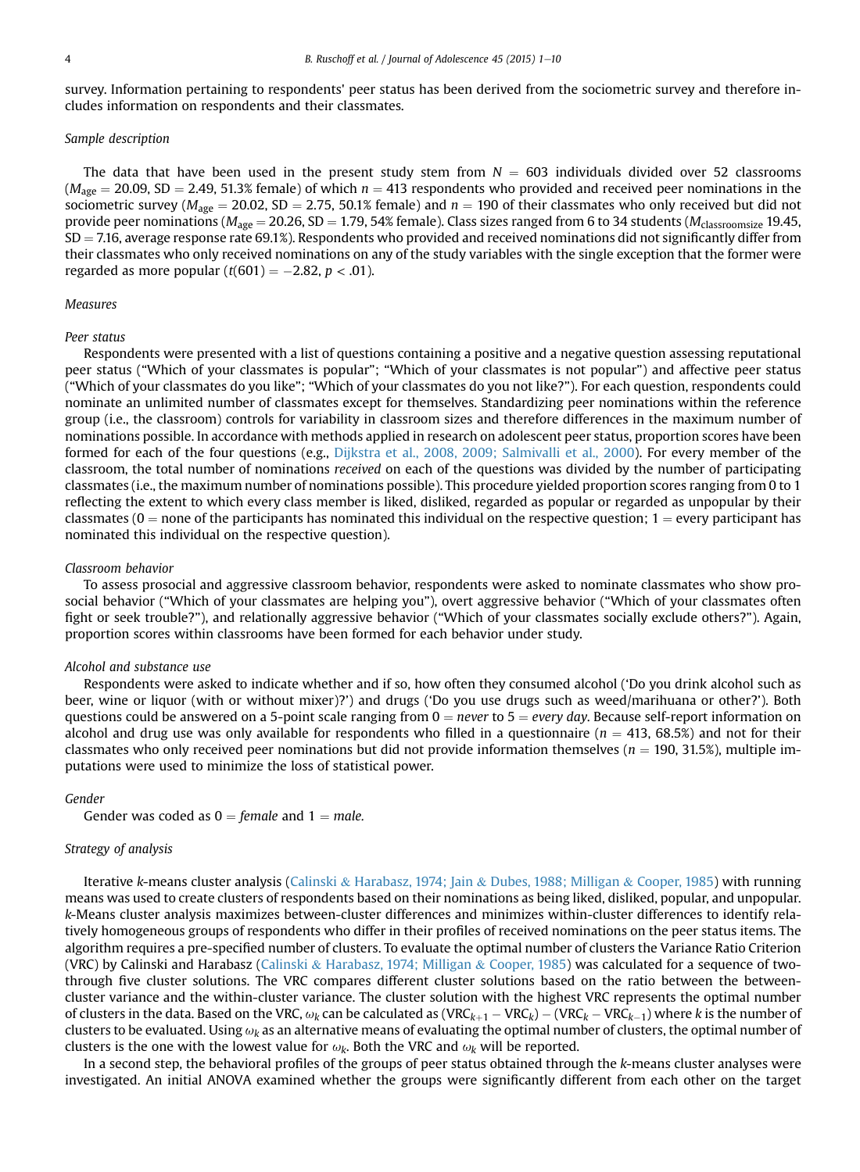survey. Information pertaining to respondents' peer status has been derived from the sociometric survey and therefore includes information on respondents and their classmates.

# Sample description

The data that have been used in the present study stem from  $N = 603$  individuals divided over 52 classrooms  $(M_{\text{age}} = 20.09, SD = 2.49, 51.3\%$  female) of which  $n = 413$  respondents who provided and received peer nominations in the sociometric survey ( $M_{\text{age}} = 20.02$ , SD = 2.75, 50.1% female) and  $n = 190$  of their classmates who only received but did not provide peer nominations ( $M_{\text{age}} = 20.26$ , SD = 1.79, 54% female). Class sizes ranged from 6 to 34 students ( $M_{\text{classronsize}}$  19.45,  $SD = 7.16$ , average response rate 69.1%). Respondents who provided and received nominations did not significantly differ from their classmates who only received nominations on any of the study variables with the single exception that the former were regarded as more popular ( $t(601) = -2.82, p < .01$ ).

# Measures

# Peer status

Respondents were presented with a list of questions containing a positive and a negative question assessing reputational peer status ("Which of your classmates is popular"; "Which of your classmates is not popular") and affective peer status ("Which of your classmates do you like"; "Which of your classmates do you not like?"). For each question, respondents could nominate an unlimited number of classmates except for themselves. Standardizing peer nominations within the reference group (i.e., the classroom) controls for variability in classroom sizes and therefore differences in the maximum number of nominations possible. In accordance with methods applied in research on adolescent peer status, proportion scores have been formed for each of the four questions (e.g., [Dijkstra et al., 2008, 2009; Salmivalli et al., 2000\)](#page-9-0). For every member of the classroom, the total number of nominations received on each of the questions was divided by the number of participating classmates (i.e., the maximum number of nominations possible). This procedure yielded proportion scores ranging from 0 to 1 reflecting the extent to which every class member is liked, disliked, regarded as popular or regarded as unpopular by their classmates ( $0 =$  none of the participants has nominated this individual on the respective question;  $1 =$  every participant has nominated this individual on the respective question).

## Classroom behavior

To assess prosocial and aggressive classroom behavior, respondents were asked to nominate classmates who show prosocial behavior ("Which of your classmates are helping you"), overt aggressive behavior ("Which of your classmates often fight or seek trouble?"), and relationally aggressive behavior ("Which of your classmates socially exclude others?"). Again, proportion scores within classrooms have been formed for each behavior under study.

# Alcohol and substance use

Respondents were asked to indicate whether and if so, how often they consumed alcohol ('Do you drink alcohol such as beer, wine or liquor (with or without mixer)?') and drugs ('Do you use drugs such as weed/marihuana or other?'). Both questions could be answered on a 5-point scale ranging from  $0 =$  never to  $5 =$  every day. Because self-report information on alcohol and drug use was only available for respondents who filled in a questionnaire ( $n = 413, 68.5\%$ ) and not for their classmates who only received peer nominations but did not provide information themselves ( $n = 190, 31.5\%$ ), multiple imputations were used to minimize the loss of statistical power.

### Gender

Gender was coded as  $0 =$  female and  $1 =$  male.

# Strategy of analysis

Iterative k-means cluster analysis ([Calinski](#page-9-0) & [Harabasz, 1974; Jain](#page-9-0) & [Dubes, 1988; Milligan](#page-9-0) & [Cooper, 1985](#page-9-0)) with running means was used to create clusters of respondents based on their nominations as being liked, disliked, popular, and unpopular. k-Means cluster analysis maximizes between-cluster differences and minimizes within-cluster differences to identify relatively homogeneous groups of respondents who differ in their profiles of received nominations on the peer status items. The algorithm requires a pre-specified number of clusters. To evaluate the optimal number of clusters the Variance Ratio Criterion (VRC) by Calinski and Harabasz [\(Calinski](#page-9-0) & [Harabasz, 1974; Milligan](#page-9-0) & [Cooper, 1985\)](#page-9-0) was calculated for a sequence of twothrough five cluster solutions. The VRC compares different cluster solutions based on the ratio between the betweencluster variance and the within-cluster variance. The cluster solution with the highest VRC represents the optimal number of clusters in the data. Based on the VRC,  $\omega_k$  can be calculated as  $(\text{VRC}_{k+1} - \text{VRC}_k) - (\text{VRC}_k - \text{VRC}_{k-1})$  where k is the number of clusters to be evaluated. Using  $\omega_k$  as an alternative means of evaluating the optimal number of clusters, the optimal number of clusters is the one with the lowest value for  $\omega_k$ . Both the VRC and  $\omega_k$  will be reported.

In a second step, the behavioral profiles of the groups of peer status obtained through the k-means cluster analyses were investigated. An initial ANOVA examined whether the groups were significantly different from each other on the target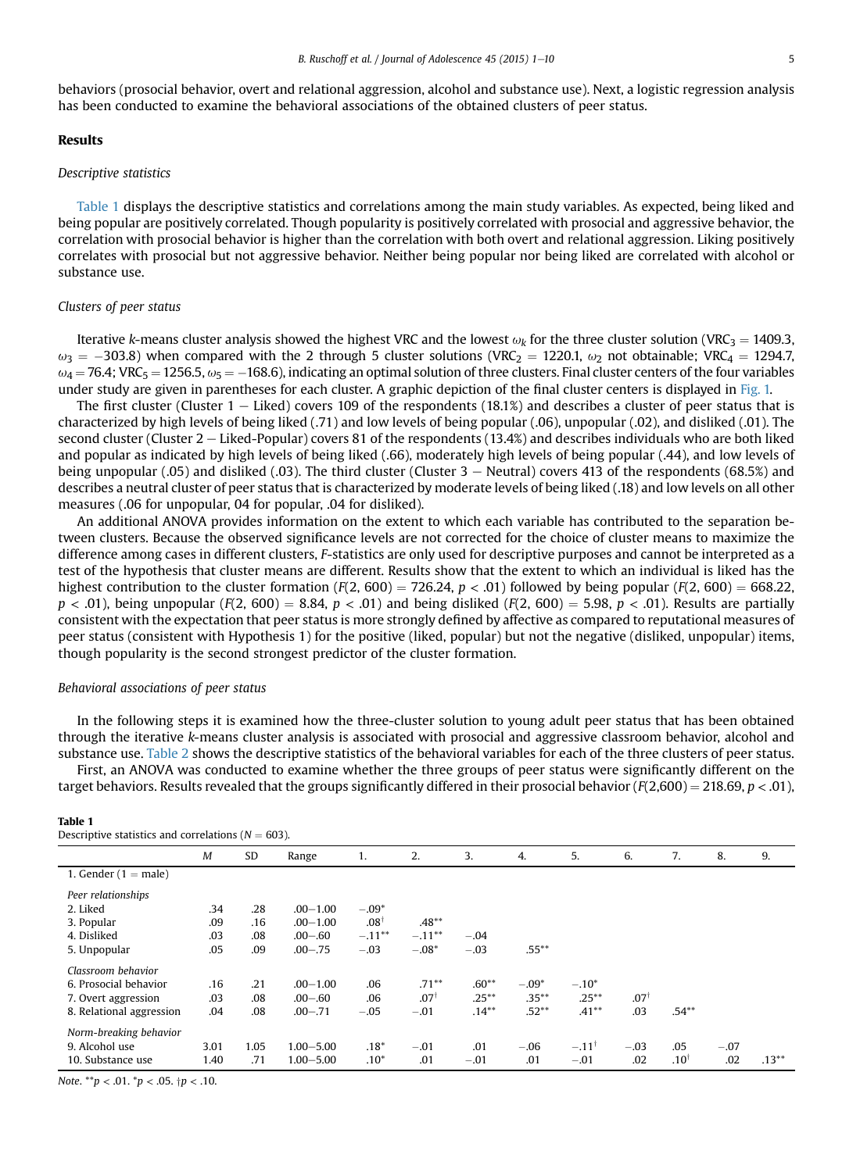behaviors (prosocial behavior, overt and relational aggression, alcohol and substance use). Next, a logistic regression analysis has been conducted to examine the behavioral associations of the obtained clusters of peer status.

# Results

# Descriptive statistics

Table 1 displays the descriptive statistics and correlations among the main study variables. As expected, being liked and being popular are positively correlated. Though popularity is positively correlated with prosocial and aggressive behavior, the correlation with prosocial behavior is higher than the correlation with both overt and relational aggression. Liking positively correlates with prosocial but not aggressive behavior. Neither being popular nor being liked are correlated with alcohol or substance use.

# Clusters of peer status

Iterative k-means cluster analysis showed the highest VRC and the lowest  $\omega_k$  for the three cluster solution (VRC<sub>3</sub> = 1409.3,  $\omega_3$  = -303.8) when compared with the 2 through 5 cluster solutions (VRC<sub>2</sub> = 1220.1,  $\omega_2$  not obtainable; VRC<sub>4</sub> = 1294.7,  $\omega_4$  = 76.4; VRC<sub>5</sub> = 1256.5,  $\omega_5$  =  $-168.6$ ), indicating an optimal solution of three clusters. Final cluster centers of the four variables under study are given in parentheses for each cluster. A graphic depiction of the final cluster centers is displayed in [Fig. 1.](#page-5-0)

The first cluster (Cluster  $1 -$  Liked) covers 109 of the respondents (18.1%) and describes a cluster of peer status that is characterized by high levels of being liked (.71) and low levels of being popular (.06), unpopular (.02), and disliked (.01). The second cluster (Cluster  $2 -$  Liked-Popular) covers 81 of the respondents (13.4%) and describes individuals who are both liked and popular as indicated by high levels of being liked (.66), moderately high levels of being popular (.44), and low levels of being unpopular  $(.05)$  and disliked  $(.03)$ . The third cluster (Cluster 3 – Neutral) covers 413 of the respondents (68.5%) and describes a neutral cluster of peer status that is characterized by moderate levels of being liked (.18) and low levels on all other measures (.06 for unpopular, 04 for popular, .04 for disliked).

An additional ANOVA provides information on the extent to which each variable has contributed to the separation between clusters. Because the observed significance levels are not corrected for the choice of cluster means to maximize the difference among cases in different clusters, F-statistics are only used for descriptive purposes and cannot be interpreted as a test of the hypothesis that cluster means are different. Results show that the extent to which an individual is liked has the highest contribution to the cluster formation ( $F(2, 600) = 726.24$ ,  $p < .01$ ) followed by being popular ( $F(2, 600) = 668.22$ ,  $p < .01$ ), being unpopular (F(2, 600) = 8.84,  $p < .01$ ) and being disliked (F(2, 600) = 5.98,  $p < .01$ ). Results are partially consistent with the expectation that peer status is more strongly defined by affective as compared to reputational measures of peer status (consistent with Hypothesis 1) for the positive (liked, popular) but not the negative (disliked, unpopular) items, though popularity is the second strongest predictor of the cluster formation.

# Behavioral associations of peer status

In the following steps it is examined how the three-cluster solution to young adult peer status that has been obtained through the iterative k-means cluster analysis is associated with prosocial and aggressive classroom behavior, alcohol and substance use. [Table 2](#page-5-0) shows the descriptive statistics of the behavioral variables for each of the three clusters of peer status.

First, an ANOVA was conducted to examine whether the three groups of peer status were significantly different on the target behaviors. Results revealed that the groups significantly differed in their prosocial behavior ( $F(2,600) = 218.69, p < .01$ ),

|                          | M    | SD   | Range         | 1.              | 2.               | 3.       | 4.       | 5.               | 6.              | 7.              | 8.     | 9.       |
|--------------------------|------|------|---------------|-----------------|------------------|----------|----------|------------------|-----------------|-----------------|--------|----------|
| 1. Gender ( $1 = male$ ) |      |      |               |                 |                  |          |          |                  |                 |                 |        |          |
| Peer relationships       |      |      |               |                 |                  |          |          |                  |                 |                 |        |          |
| 2. Liked                 | .34  | .28  | $.00 - 1.00$  | $-.09*$         |                  |          |          |                  |                 |                 |        |          |
| 3. Popular               | .09  | .16  | $.00 - 1.00$  | $.08^{\dagger}$ | $.48***$         |          |          |                  |                 |                 |        |          |
| 4. Disliked              | .03  | .08  | $.00 - .60$   | $-.11***$       | $-.11***$        | $-.04$   |          |                  |                 |                 |        |          |
| 5. Unpopular             | .05  | .09  | $.00 - .75$   | $-.03$          | $-.08*$          | $-.03$   | $.55***$ |                  |                 |                 |        |          |
| Classroom behavior       |      |      |               |                 |                  |          |          |                  |                 |                 |        |          |
| 6. Prosocial behavior    | .16  | .21  | $.00 - 1.00$  | .06             | $.71***$         | $.60**$  | $-.09*$  | $-.10*$          |                 |                 |        |          |
| 7. Overt aggression      | .03  | .08  | $.00 - .60$   | .06             | .07 <sup>†</sup> | $.25***$ | $.35***$ | $.25***$         | $.07^{\dagger}$ |                 |        |          |
| 8. Relational aggression | .04  | .08  | $.00 - .71$   | $-.05$          | $-.01$           | $.14***$ | $.52**$  | $.41***$         | .03             | $.54***$        |        |          |
| Norm-breaking behavior   |      |      |               |                 |                  |          |          |                  |                 |                 |        |          |
| 9. Alcohol use           | 3.01 | 1.05 | $1.00 - 5.00$ | $.18*$          | $-.01$           | .01      | $-.06$   | $-.11^{\dagger}$ | $-.03$          | .05             | $-.07$ |          |
| 10. Substance use        | 1.40 | .71  | $1.00 - 5.00$ | $.10*$          | .01              | $-.01$   | .01      | $-.01$           | .02             | $.10^{\dagger}$ | .02    | $.13***$ |

Table 1 Descriptive statistics and correlations (N ¼ 603).

Note. \*\*p < .01. \*p < .05.  $\uparrow p$  < .10.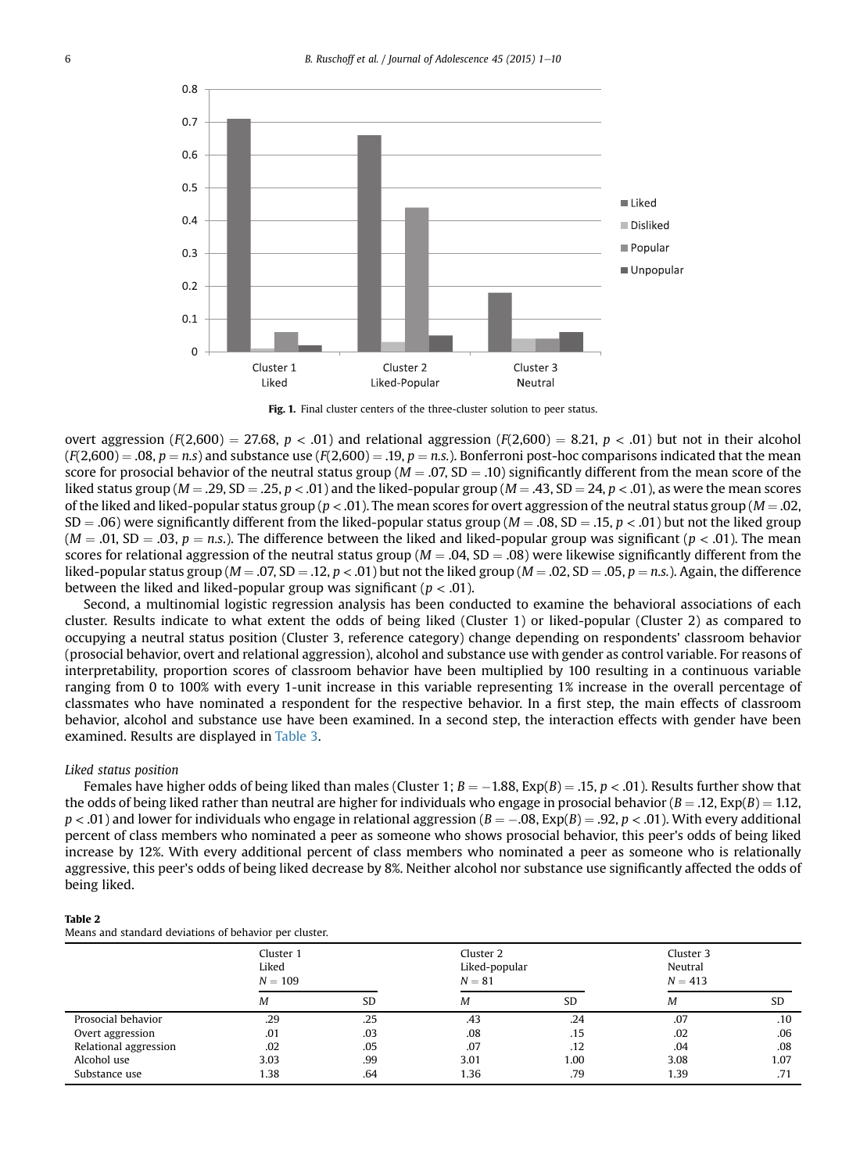<span id="page-5-0"></span>

Fig. 1. Final cluster centers of the three-cluster solution to peer status.

overt aggression ( $F(2,600) = 27.68$ ,  $p < .01$ ) and relational aggression ( $F(2,600) = 8.21$ ,  $p < .01$ ) but not in their alcohol  $(F(2,600) = .08, p = n.s)$  and substance use  $(F(2,600) = .19, p = n.s.$ ). Bonferroni post-hoc comparisons indicated that the mean score for prosocial behavior of the neutral status group ( $M = .07$ , SD = .10) significantly different from the mean score of the liked status group ( $M = .29$ ,  $SD = .25$ ,  $p < .01$ ) and the liked-popular group ( $M = .43$ ,  $SD = 24$ ,  $p < .01$ ), as were the mean scores of the liked and liked-popular status group ( $p < .01$ ). The mean scores for overt aggression of the neutral status group ( $M = .02$ ,  $SD = .06$ ) were significantly different from the liked-popular status group ( $M = .08$ ,  $SD = .15$ ,  $p < .01$ ) but not the liked group  $(M = .01, SD = .03, p = n.s.)$ . The difference between the liked and liked-popular group was significant  $(p < .01)$ . The mean scores for relational aggression of the neutral status group ( $M = .04$ , SD = .08) were likewise significantly different from the liked-popular status group ( $M = .07$ , SD = .12, p < .01) but not the liked group ( $M = .02$ , SD = .05, p = n.s.). Again, the difference between the liked and liked-popular group was significant ( $p < .01$ ).

Second, a multinomial logistic regression analysis has been conducted to examine the behavioral associations of each cluster. Results indicate to what extent the odds of being liked (Cluster 1) or liked-popular (Cluster 2) as compared to occupying a neutral status position (Cluster 3, reference category) change depending on respondents' classroom behavior (prosocial behavior, overt and relational aggression), alcohol and substance use with gender as control variable. For reasons of interpretability, proportion scores of classroom behavior have been multiplied by 100 resulting in a continuous variable ranging from 0 to 100% with every 1-unit increase in this variable representing 1% increase in the overall percentage of classmates who have nominated a respondent for the respective behavior. In a first step, the main effects of classroom behavior, alcohol and substance use have been examined. In a second step, the interaction effects with gender have been examined. Results are displayed in [Table 3](#page-6-0).

## Liked status position

Females have higher odds of being liked than males (Cluster 1;  $B = -1.88$ ,  $Exp(B) = .15$ ,  $p < .01$ ). Results further show that the odds of being liked rather than neutral are higher for individuals who engage in prosocial behavior ( $B = .12$ , Exp( $B$ ) = 1.12,  $p < .01$ ) and lower for individuals who engage in relational aggression ( $B = -.08$ ,  $Exp(B) = .92$ ,  $p < .01$ ). With every additional percent of class members who nominated a peer as someone who shows prosocial behavior, this peer's odds of being liked increase by 12%. With every additional percent of class members who nominated a peer as someone who is relationally aggressive, this peer's odds of being liked decrease by 8%. Neither alcohol nor substance use significantly affected the odds of being liked.

#### Table 2

Means and standard deviations of behavior per cluster.

|                       | Cluster 1<br>Liked<br>$N = 109$ |     | Cluster 2<br>Liked-popular<br>$N = 81$ |      | Cluster 3<br>Neutral<br>$N = 413$ |           |  |
|-----------------------|---------------------------------|-----|----------------------------------------|------|-----------------------------------|-----------|--|
|                       | M                               | SD  | M                                      | SD   | M                                 | <b>SD</b> |  |
| Prosocial behavior    | .29                             | .25 | .43                                    | .24  | .07                               | .10       |  |
| Overt aggression      | .01                             | .03 | .08                                    | .15  | .02                               | .06       |  |
| Relational aggression | .02                             | .05 | .07                                    | .12  | .04                               | .08       |  |
| Alcohol use           | 3.03                            | .99 | 3.01                                   | 1.00 | 3.08                              | 1.07      |  |
| Substance use         | 1.38                            | .64 | 1.36                                   | .79  | 1.39                              | .71       |  |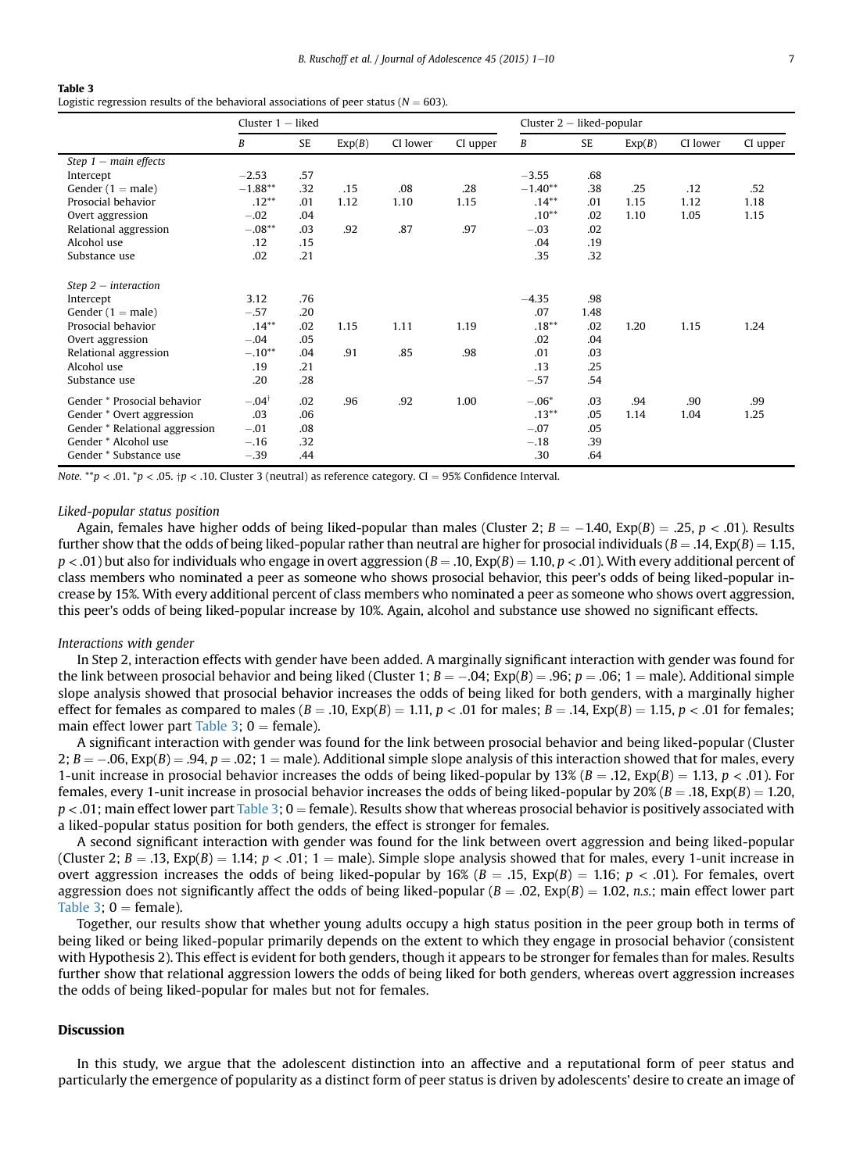<span id="page-6-0"></span>

|--|--|

Logistic regression results of the behavioral associations of peer status ( $N = 603$ ).

|                                | Cluster $1 -$ liked |     |        |          |          | Cluster $2$ - liked-popular |      |        |          |          |
|--------------------------------|---------------------|-----|--------|----------|----------|-----------------------------|------|--------|----------|----------|
|                                | B                   | SE  | Exp(B) | CI lower | CI upper | B                           | SE   | Exp(B) | CI lower | CI upper |
| Step $1 - \text{main effects}$ |                     |     |        |          |          |                             |      |        |          |          |
| Intercept                      | $-2.53$             | .57 |        |          |          | $-3.55$                     | .68  |        |          |          |
| Gender $(1 = male)$            | $-1.88**$           | .32 | .15    | .08      | .28      | $-1.40**$                   | .38  | .25    | .12      | .52      |
| Prosocial behavior             | $.12***$            | .01 | 1.12   | 1.10     | 1.15     | $.14***$                    | .01  | 1.15   | 1.12     | 1.18     |
| Overt aggression               | $-.02$              | .04 |        |          |          | $.10**$                     | .02  | 1.10   | 1.05     | 1.15     |
| Relational aggression          | $-.08**$            | .03 | .92    | .87      | .97      | $-.03$                      | .02  |        |          |          |
| Alcohol use                    | .12                 | .15 |        |          |          | .04                         | .19  |        |          |          |
| Substance use                  | .02                 | .21 |        |          |          | .35                         | .32  |        |          |          |
| Step $2$ – interaction         |                     |     |        |          |          |                             |      |        |          |          |
| Intercept                      | 3.12                | .76 |        |          |          | $-4.35$                     | .98  |        |          |          |
| Gender $(1 = male)$            | $-.57$              | .20 |        |          |          | .07                         | 1.48 |        |          |          |
| Prosocial behavior             | $.14***$            | .02 | 1.15   | 1.11     | 1.19     | $.18***$                    | .02  | 1.20   | 1.15     | 1.24     |
| Overt aggression               | $-.04$              | .05 |        |          |          | .02                         | .04  |        |          |          |
| Relational aggression          | $-.10**$            | .04 | .91    | .85      | .98      | .01                         | .03  |        |          |          |
| Alcohol use                    | .19                 | .21 |        |          |          | .13                         | .25  |        |          |          |
| Substance use                  | .20                 | .28 |        |          |          | $-.57$                      | .54  |        |          |          |
| Gender * Prosocial behavior    | $-.04^{\dagger}$    | .02 | .96    | .92      | 1.00     | $-.06*$                     | .03  | .94    | .90      | .99      |
| Gender * Overt aggression      | .03                 | .06 |        |          |          | $.13***$                    | .05  | 1.14   | 1.04     | 1.25     |
| Gender * Relational aggression | $-.01$              | .08 |        |          |          | $-.07$                      | .05  |        |          |          |
| Gender * Alcohol use           | $-.16$              | .32 |        |          |          | $-.18$                      | .39  |        |          |          |
| Gender * Substance use         | $-.39$              | .44 |        |          |          | .30                         | .64  |        |          |          |

Note. \*\*p < .01. \*p < .05.  $\dagger p$  < .10. Cluster 3 (neutral) as reference category. CI = 95% Confidence Interval.

# Liked-popular status position

Again, females have higher odds of being liked-popular than males (Cluster 2;  $B = -1.40$ ,  $Exp(B) = .25$ ,  $p < .01$ ). Results further show that the odds of being liked-popular rather than neutral are higher for prosocial individuals ( $B = .14$ ,  $Exp(B) = 1.15$ ,  $p < .01$ ) but also for individuals who engage in overt aggression ( $B = .10$ ,  $Exp(B) = 1.10$ ,  $p < .01$ ). With every additional percent of class members who nominated a peer as someone who shows prosocial behavior, this peer's odds of being liked-popular increase by 15%. With every additional percent of class members who nominated a peer as someone who shows overt aggression, this peer's odds of being liked-popular increase by 10%. Again, alcohol and substance use showed no significant effects.

### Interactions with gender

In Step 2, interaction effects with gender have been added. A marginally significant interaction with gender was found for the link between prosocial behavior and being liked (Cluster 1;  $B = -0.04$ ;  $Exp(B) = 0.96$ ;  $p = 0.06$ ; 1 = male). Additional simple slope analysis showed that prosocial behavior increases the odds of being liked for both genders, with a marginally higher effect for females as compared to males ( $B = .10$ ,  $Exp(B) = 1.11$ ,  $p < .01$  for males;  $B = .14$ ,  $Exp(B) = 1.15$ ,  $p < .01$  for females; main effect lower part Table 3;  $0 =$  female).

A significant interaction with gender was found for the link between prosocial behavior and being liked-popular (Cluster  $2$ ;  $B = -0.06$ ,  $Exp(B) = 0.94$ ,  $p = 0.02$ ;  $1 =$  male). Additional simple slope analysis of this interaction showed that for males, every 1-unit increase in prosocial behavior increases the odds of being liked-popular by 13% ( $B = .12$ ,  $Exp(B) = 1.13$ ,  $p < .01$ ). For females, every 1-unit increase in prosocial behavior increases the odds of being liked-popular by  $20\% (B=.18, Exp(B) = 1.20,$  $p < 0.01$ ; main effect lower part Table 3; 0 = female). Results show that whereas prosocial behavior is positively associated with a liked-popular status position for both genders, the effect is stronger for females.

A second significant interaction with gender was found for the link between overt aggression and being liked-popular (Cluster 2;  $B = .13$ ,  $Exp(B) = 1.14$ ;  $p < .01$ ; 1 = male). Simple slope analysis showed that for males, every 1-unit increase in overt aggression increases the odds of being liked-popular by 16% ( $B = .15$ ,  $Exp(B) = 1.16$ ;  $p < .01$ ). For females, overt aggression does not significantly affect the odds of being liked-popular ( $B = .02$ ,  $Exp(B) = 1.02$ , n.s.; main effect lower part Table 3;  $0 =$  female).

Together, our results show that whether young adults occupy a high status position in the peer group both in terms of being liked or being liked-popular primarily depends on the extent to which they engage in prosocial behavior (consistent with Hypothesis 2). This effect is evident for both genders, though it appears to be stronger for females than for males. Results further show that relational aggression lowers the odds of being liked for both genders, whereas overt aggression increases the odds of being liked-popular for males but not for females.

### Discussion

In this study, we argue that the adolescent distinction into an affective and a reputational form of peer status and particularly the emergence of popularity as a distinct form of peer status is driven by adolescents' desire to create an image of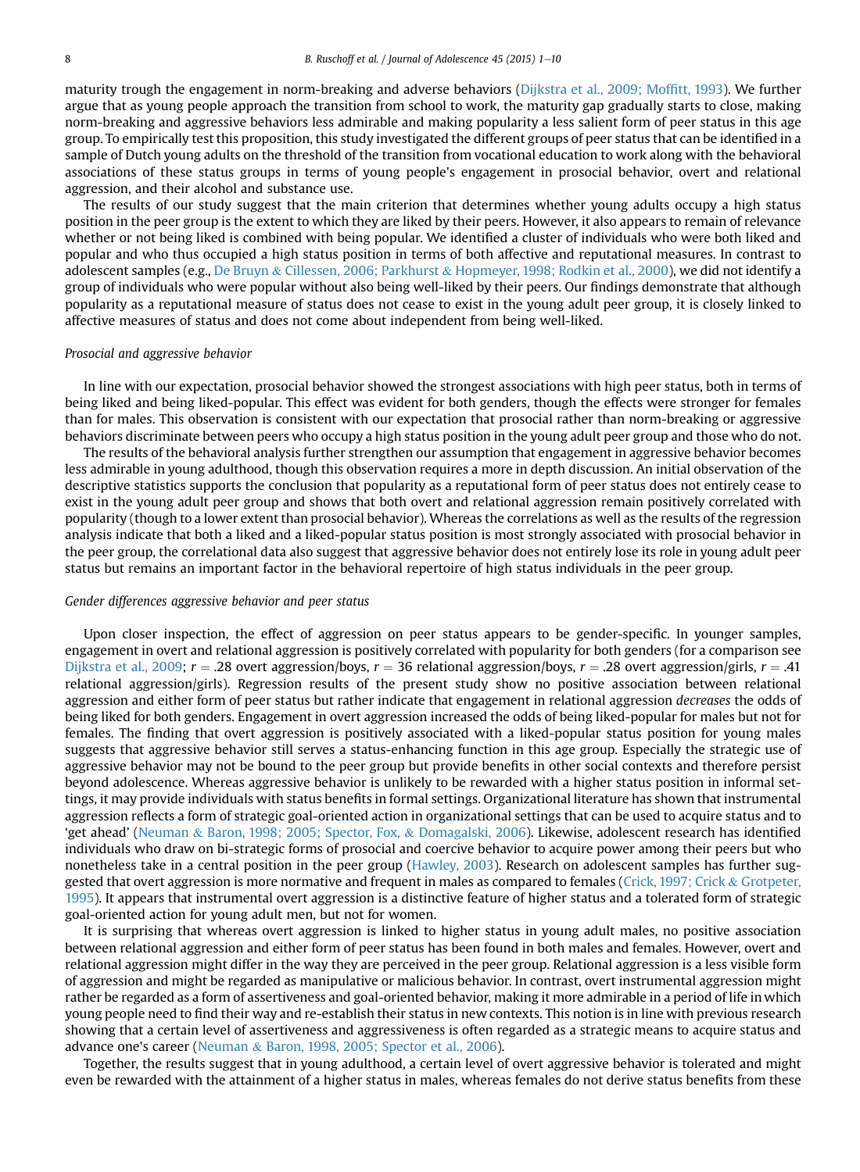maturity trough the engagement in norm-breaking and adverse behaviors ([Dijkstra et al., 2009; Mof](#page-9-0)fitt, 1993). We further argue that as young people approach the transition from school to work, the maturity gap gradually starts to close, making norm-breaking and aggressive behaviors less admirable and making popularity a less salient form of peer status in this age group. To empirically test this proposition, this study investigated the different groups of peer status that can be identified in a sample of Dutch young adults on the threshold of the transition from vocational education to work along with the behavioral associations of these status groups in terms of young people's engagement in prosocial behavior, overt and relational aggression, and their alcohol and substance use.

The results of our study suggest that the main criterion that determines whether young adults occupy a high status position in the peer group is the extent to which they are liked by their peers. However, it also appears to remain of relevance whether or not being liked is combined with being popular. We identified a cluster of individuals who were both liked and popular and who thus occupied a high status position in terms of both affective and reputational measures. In contrast to adolescent samples (e.g., [De Bruyn](#page-9-0) & [Cillessen, 2006; Parkhurst](#page-9-0) & [Hopmeyer, 1998; Rodkin et al., 2000](#page-9-0)), we did not identify a group of individuals who were popular without also being well-liked by their peers. Our findings demonstrate that although popularity as a reputational measure of status does not cease to exist in the young adult peer group, it is closely linked to affective measures of status and does not come about independent from being well-liked.

## Prosocial and aggressive behavior

In line with our expectation, prosocial behavior showed the strongest associations with high peer status, both in terms of being liked and being liked-popular. This effect was evident for both genders, though the effects were stronger for females than for males. This observation is consistent with our expectation that prosocial rather than norm-breaking or aggressive behaviors discriminate between peers who occupy a high status position in the young adult peer group and those who do not.

The results of the behavioral analysis further strengthen our assumption that engagement in aggressive behavior becomes less admirable in young adulthood, though this observation requires a more in depth discussion. An initial observation of the descriptive statistics supports the conclusion that popularity as a reputational form of peer status does not entirely cease to exist in the young adult peer group and shows that both overt and relational aggression remain positively correlated with popularity (though to a lower extent than prosocial behavior). Whereas the correlations as well as the results of the regression analysis indicate that both a liked and a liked-popular status position is most strongly associated with prosocial behavior in the peer group, the correlational data also suggest that aggressive behavior does not entirely lose its role in young adult peer status but remains an important factor in the behavioral repertoire of high status individuals in the peer group.

# Gender differences aggressive behavior and peer status

Upon closer inspection, the effect of aggression on peer status appears to be gender-specific. In younger samples, engagement in overt and relational aggression is positively correlated with popularity for both genders (for a comparison see [Dijkstra et al., 2009](#page-9-0);  $r = .28$  overt aggression/boys,  $r = 36$  relational aggression/boys,  $r = .28$  overt aggression/girls,  $r = .41$ relational aggression/girls). Regression results of the present study show no positive association between relational aggression and either form of peer status but rather indicate that engagement in relational aggression decreases the odds of being liked for both genders. Engagement in overt aggression increased the odds of being liked-popular for males but not for females. The finding that overt aggression is positively associated with a liked-popular status position for young males suggests that aggressive behavior still serves a status-enhancing function in this age group. Especially the strategic use of aggressive behavior may not be bound to the peer group but provide benefits in other social contexts and therefore persist beyond adolescence. Whereas aggressive behavior is unlikely to be rewarded with a higher status position in informal settings, it may provide individuals with status benefits in formal settings. Organizational literature has shown that instrumental aggression reflects a form of strategic goal-oriented action in organizational settings that can be used to acquire status and to 'get ahead' ([Neuman](#page-9-0) & [Baron, 1998; 2005; Spector, Fox,](#page-9-0) & [Domagalski, 2006](#page-9-0)). Likewise, adolescent research has identified individuals who draw on bi-strategic forms of prosocial and coercive behavior to acquire power among their peers but who nonetheless take in a central position in the peer group ([Hawley, 2003\)](#page-9-0). Research on adolescent samples has further suggested that overt aggression is more normative and frequent in males as compared to females ([Crick, 1997; Crick](#page-9-0) & [Grotpeter,](#page-9-0) [1995\)](#page-9-0). It appears that instrumental overt aggression is a distinctive feature of higher status and a tolerated form of strategic goal-oriented action for young adult men, but not for women.

It is surprising that whereas overt aggression is linked to higher status in young adult males, no positive association between relational aggression and either form of peer status has been found in both males and females. However, overt and relational aggression might differ in the way they are perceived in the peer group. Relational aggression is a less visible form of aggression and might be regarded as manipulative or malicious behavior. In contrast, overt instrumental aggression might rather be regarded as a form of assertiveness and goal-oriented behavior, making it more admirable in a period of life in which young people need to find their way and re-establish their status in new contexts. This notion is in line with previous research showing that a certain level of assertiveness and aggressiveness is often regarded as a strategic means to acquire status and advance one's career [\(Neuman](#page-9-0) & [Baron, 1998, 2005; Spector et al., 2006\)](#page-9-0).

Together, the results suggest that in young adulthood, a certain level of overt aggressive behavior is tolerated and might even be rewarded with the attainment of a higher status in males, whereas females do not derive status benefits from these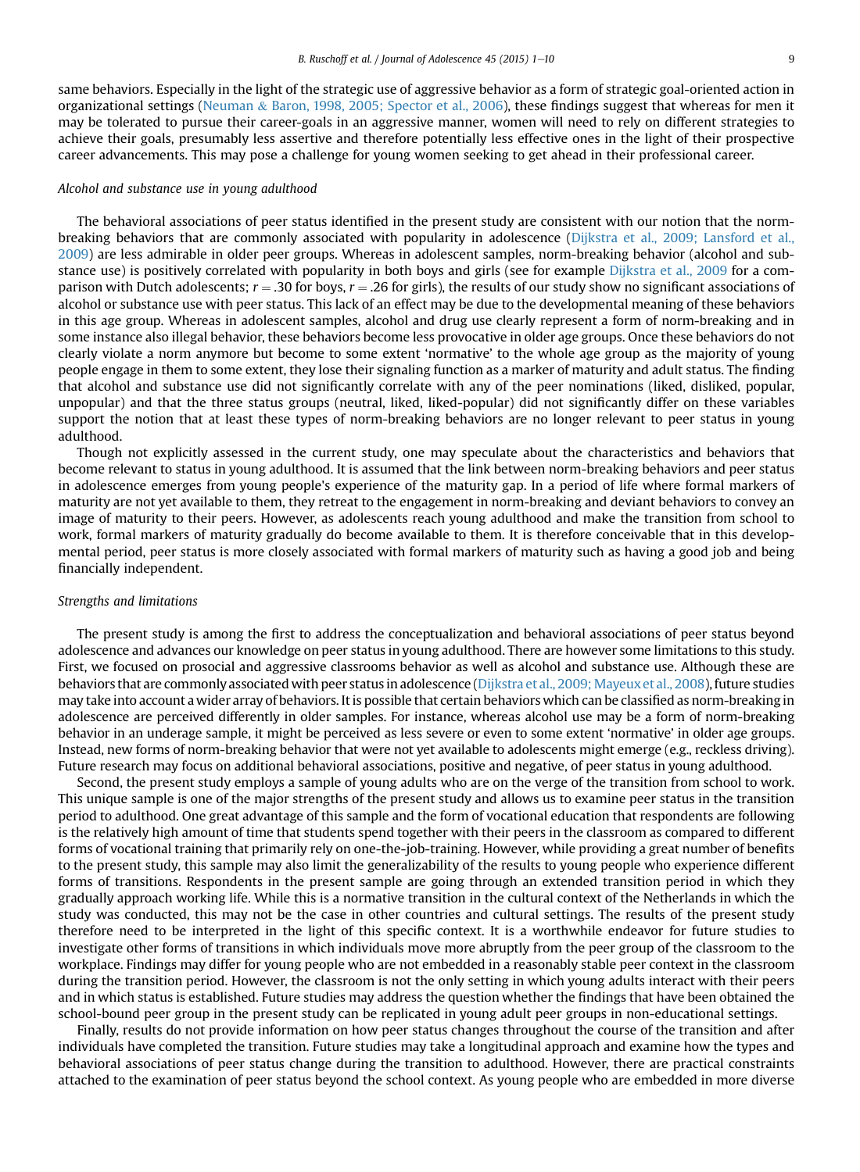same behaviors. Especially in the light of the strategic use of aggressive behavior as a form of strategic goal-oriented action in organizational settings ([Neuman](#page-9-0) & [Baron, 1998, 2005; Spector et al., 2006\)](#page-9-0), these findings suggest that whereas for men it may be tolerated to pursue their career-goals in an aggressive manner, women will need to rely on different strategies to achieve their goals, presumably less assertive and therefore potentially less effective ones in the light of their prospective career advancements. This may pose a challenge for young women seeking to get ahead in their professional career.

# Alcohol and substance use in young adulthood

The behavioral associations of peer status identified in the present study are consistent with our notion that the norm-breaking behaviors that are commonly associated with popularity in adolescence ([Dijkstra et al., 2009; Lansford et al.,](#page-9-0) [2009](#page-9-0)) are less admirable in older peer groups. Whereas in adolescent samples, norm-breaking behavior (alcohol and sub-stance use) is positively correlated with popularity in both boys and girls (see for example [Dijkstra et al., 2009](#page-9-0) for a comparison with Dutch adolescents;  $r = 0.30$  for boys,  $r = 0.26$  for girls), the results of our study show no significant associations of alcohol or substance use with peer status. This lack of an effect may be due to the developmental meaning of these behaviors in this age group. Whereas in adolescent samples, alcohol and drug use clearly represent a form of norm-breaking and in some instance also illegal behavior, these behaviors become less provocative in older age groups. Once these behaviors do not clearly violate a norm anymore but become to some extent 'normative' to the whole age group as the majority of young people engage in them to some extent, they lose their signaling function as a marker of maturity and adult status. The finding that alcohol and substance use did not significantly correlate with any of the peer nominations (liked, disliked, popular, unpopular) and that the three status groups (neutral, liked, liked-popular) did not significantly differ on these variables support the notion that at least these types of norm-breaking behaviors are no longer relevant to peer status in young adulthood.

Though not explicitly assessed in the current study, one may speculate about the characteristics and behaviors that become relevant to status in young adulthood. It is assumed that the link between norm-breaking behaviors and peer status in adolescence emerges from young people's experience of the maturity gap. In a period of life where formal markers of maturity are not yet available to them, they retreat to the engagement in norm-breaking and deviant behaviors to convey an image of maturity to their peers. However, as adolescents reach young adulthood and make the transition from school to work, formal markers of maturity gradually do become available to them. It is therefore conceivable that in this developmental period, peer status is more closely associated with formal markers of maturity such as having a good job and being financially independent.

# Strengths and limitations

The present study is among the first to address the conceptualization and behavioral associations of peer status beyond adolescence and advances our knowledge on peer status in young adulthood. There are however some limitations to this study. First, we focused on prosocial and aggressive classrooms behavior as well as alcohol and substance use. Although these are behaviors that are commonly associated with peer status in adolescence ([Dijkstra et al., 2009; Mayeux et al., 2008](#page-9-0)), future studies may take into account a wider array of behaviors. It is possible that certain behaviors which can be classified as norm-breaking in adolescence are perceived differently in older samples. For instance, whereas alcohol use may be a form of norm-breaking behavior in an underage sample, it might be perceived as less severe or even to some extent 'normative' in older age groups. Instead, new forms of norm-breaking behavior that were not yet available to adolescents might emerge (e.g., reckless driving). Future research may focus on additional behavioral associations, positive and negative, of peer status in young adulthood.

Second, the present study employs a sample of young adults who are on the verge of the transition from school to work. This unique sample is one of the major strengths of the present study and allows us to examine peer status in the transition period to adulthood. One great advantage of this sample and the form of vocational education that respondents are following is the relatively high amount of time that students spend together with their peers in the classroom as compared to different forms of vocational training that primarily rely on one-the-job-training. However, while providing a great number of benefits to the present study, this sample may also limit the generalizability of the results to young people who experience different forms of transitions. Respondents in the present sample are going through an extended transition period in which they gradually approach working life. While this is a normative transition in the cultural context of the Netherlands in which the study was conducted, this may not be the case in other countries and cultural settings. The results of the present study therefore need to be interpreted in the light of this specific context. It is a worthwhile endeavor for future studies to investigate other forms of transitions in which individuals move more abruptly from the peer group of the classroom to the workplace. Findings may differ for young people who are not embedded in a reasonably stable peer context in the classroom during the transition period. However, the classroom is not the only setting in which young adults interact with their peers and in which status is established. Future studies may address the question whether the findings that have been obtained the school-bound peer group in the present study can be replicated in young adult peer groups in non-educational settings.

Finally, results do not provide information on how peer status changes throughout the course of the transition and after individuals have completed the transition. Future studies may take a longitudinal approach and examine how the types and behavioral associations of peer status change during the transition to adulthood. However, there are practical constraints attached to the examination of peer status beyond the school context. As young people who are embedded in more diverse